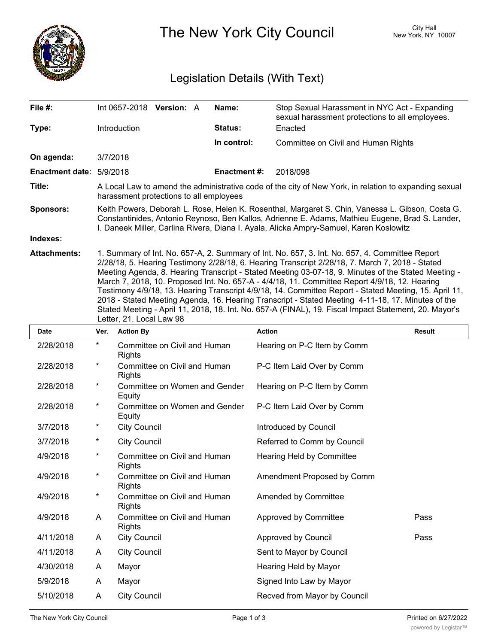

The New York City Council New York, NY 10007

## Legislation Details (With Text)

| File #:                         | Int 0657-2018 Version: A                                                                                                                                                                                                                                                                                                                                                                                                                                                                                                                                                                                                                                                                                                         |  |  | Name:        | Stop Sexual Harassment in NYC Act - Expanding<br>sexual harassment protections to all employees. |  |  |
|---------------------------------|----------------------------------------------------------------------------------------------------------------------------------------------------------------------------------------------------------------------------------------------------------------------------------------------------------------------------------------------------------------------------------------------------------------------------------------------------------------------------------------------------------------------------------------------------------------------------------------------------------------------------------------------------------------------------------------------------------------------------------|--|--|--------------|--------------------------------------------------------------------------------------------------|--|--|
| Type:                           | Introduction                                                                                                                                                                                                                                                                                                                                                                                                                                                                                                                                                                                                                                                                                                                     |  |  | Status:      | Enacted                                                                                          |  |  |
|                                 |                                                                                                                                                                                                                                                                                                                                                                                                                                                                                                                                                                                                                                                                                                                                  |  |  | In control:  | Committee on Civil and Human Rights                                                              |  |  |
| On agenda:                      | 3/7/2018                                                                                                                                                                                                                                                                                                                                                                                                                                                                                                                                                                                                                                                                                                                         |  |  |              |                                                                                                  |  |  |
| <b>Enactment date: 5/9/2018</b> |                                                                                                                                                                                                                                                                                                                                                                                                                                                                                                                                                                                                                                                                                                                                  |  |  | Enactment #: | 2018/098                                                                                         |  |  |
| Title:                          | A Local Law to amend the administrative code of the city of New York, in relation to expanding sexual<br>harassment protections to all employees                                                                                                                                                                                                                                                                                                                                                                                                                                                                                                                                                                                 |  |  |              |                                                                                                  |  |  |
| <b>Sponsors:</b>                | Keith Powers, Deborah L. Rose, Helen K. Rosenthal, Margaret S. Chin, Vanessa L. Gibson, Costa G.<br>Constantinides, Antonio Reynoso, Ben Kallos, Adrienne E. Adams, Mathieu Eugene, Brad S. Lander,<br>I. Daneek Miller, Carlina Rivera, Diana I. Ayala, Alicka Ampry-Samuel, Karen Koslowitz                                                                                                                                                                                                                                                                                                                                                                                                                                    |  |  |              |                                                                                                  |  |  |
| Indexes:                        |                                                                                                                                                                                                                                                                                                                                                                                                                                                                                                                                                                                                                                                                                                                                  |  |  |              |                                                                                                  |  |  |
| <b>Attachments:</b>             | 1. Summary of Int. No. 657-A, 2. Summary of Int. No. 657, 3. Int. No. 657, 4. Committee Report<br>2/28/18, 5. Hearing Testimony 2/28/18, 6. Hearing Transcript 2/28/18, 7. March 7, 2018 - Stated<br>Meeting Agenda, 8. Hearing Transcript - Stated Meeting 03-07-18, 9. Minutes of the Stated Meeting -<br>March 7, 2018, 10. Proposed Int. No. 657-A - 4/4/18, 11. Committee Report 4/9/18, 12. Hearing<br>Testimony 4/9/18, 13. Hearing Transcript 4/9/18, 14. Committee Report - Stated Meeting, 15. April 11,<br>2018 - Stated Meeting Agenda, 16. Hearing Transcript - Stated Meeting 4-11-18, 17. Minutes of the<br>Stated Meeting - April 11, 2018, 18. Int. No. 657-A (FINAL), 19. Fiscal Impact Statement, 20. Mayor's |  |  |              |                                                                                                  |  |  |

Letter, 21. Local Law 98

| <b>Date</b> | Ver.       | <b>Action By</b>                              | <b>Action</b>                | <b>Result</b> |
|-------------|------------|-----------------------------------------------|------------------------------|---------------|
| 2/28/2018   | $^{\star}$ | Committee on Civil and Human<br><b>Rights</b> | Hearing on P-C Item by Comm  |               |
| 2/28/2018   | $^\star$   | Committee on Civil and Human<br><b>Rights</b> | P-C Item Laid Over by Comm   |               |
| 2/28/2018   | $^\star$   | Committee on Women and Gender<br>Equity       | Hearing on P-C Item by Comm  |               |
| 2/28/2018   | $^\star$   | Committee on Women and Gender<br>Equity       | P-C Item Laid Over by Comm   |               |
| 3/7/2018    | *          | <b>City Council</b>                           | Introduced by Council        |               |
| 3/7/2018    | *          | <b>City Council</b>                           | Referred to Comm by Council  |               |
| 4/9/2018    | *          | Committee on Civil and Human<br><b>Rights</b> | Hearing Held by Committee    |               |
| 4/9/2018    | $^\star$   | Committee on Civil and Human<br><b>Rights</b> | Amendment Proposed by Comm   |               |
| 4/9/2018    | *          | Committee on Civil and Human<br><b>Rights</b> | Amended by Committee         |               |
| 4/9/2018    | A          | Committee on Civil and Human<br><b>Rights</b> | Approved by Committee        | Pass          |
| 4/11/2018   | A          | <b>City Council</b>                           | Approved by Council          | Pass          |
| 4/11/2018   | A          | <b>City Council</b>                           | Sent to Mayor by Council     |               |
| 4/30/2018   | A          | Mayor                                         | Hearing Held by Mayor        |               |
| 5/9/2018    | A          | Mayor                                         | Signed Into Law by Mayor     |               |
| 5/10/2018   | A          | <b>City Council</b>                           | Recved from Mayor by Council |               |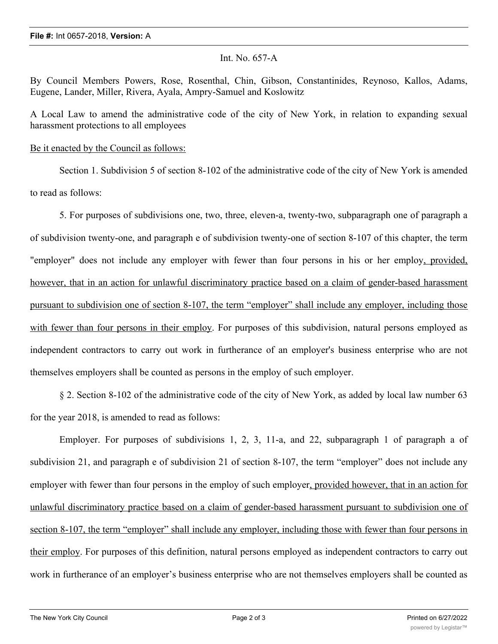## Int. No. 657-A

By Council Members Powers, Rose, Rosenthal, Chin, Gibson, Constantinides, Reynoso, Kallos, Adams, Eugene, Lander, Miller, Rivera, Ayala, Ampry-Samuel and Koslowitz

A Local Law to amend the administrative code of the city of New York, in relation to expanding sexual harassment protections to all employees

Be it enacted by the Council as follows:

Section 1. Subdivision 5 of section 8-102 of the administrative code of the city of New York is amended to read as follows:

5. For purposes of subdivisions one, two, three, eleven-a, twenty-two, subparagraph one of paragraph a of subdivision twenty-one, and paragraph e of subdivision twenty-one of section 8-107 of this chapter, the term "employer" does not include any employer with fewer than four persons in his or her employ, provided, however, that in an action for unlawful discriminatory practice based on a claim of gender-based harassment pursuant to subdivision one of section 8-107, the term "employer" shall include any employer, including those with fewer than four persons in their employ. For purposes of this subdivision, natural persons employed as independent contractors to carry out work in furtherance of an employer's business enterprise who are not themselves employers shall be counted as persons in the employ of such employer.

§ 2. Section 8-102 of the administrative code of the city of New York, as added by local law number 63 for the year 2018, is amended to read as follows:

Employer. For purposes of subdivisions 1, 2, 3, 11-a, and 22, subparagraph 1 of paragraph a of subdivision 21, and paragraph e of subdivision 21 of section 8-107, the term "employer" does not include any employer with fewer than four persons in the employ of such employer, provided however, that in an action for unlawful discriminatory practice based on a claim of gender-based harassment pursuant to subdivision one of section 8-107, the term "employer" shall include any employer, including those with fewer than four persons in their employ. For purposes of this definition, natural persons employed as independent contractors to carry out work in furtherance of an employer's business enterprise who are not themselves employers shall be counted as